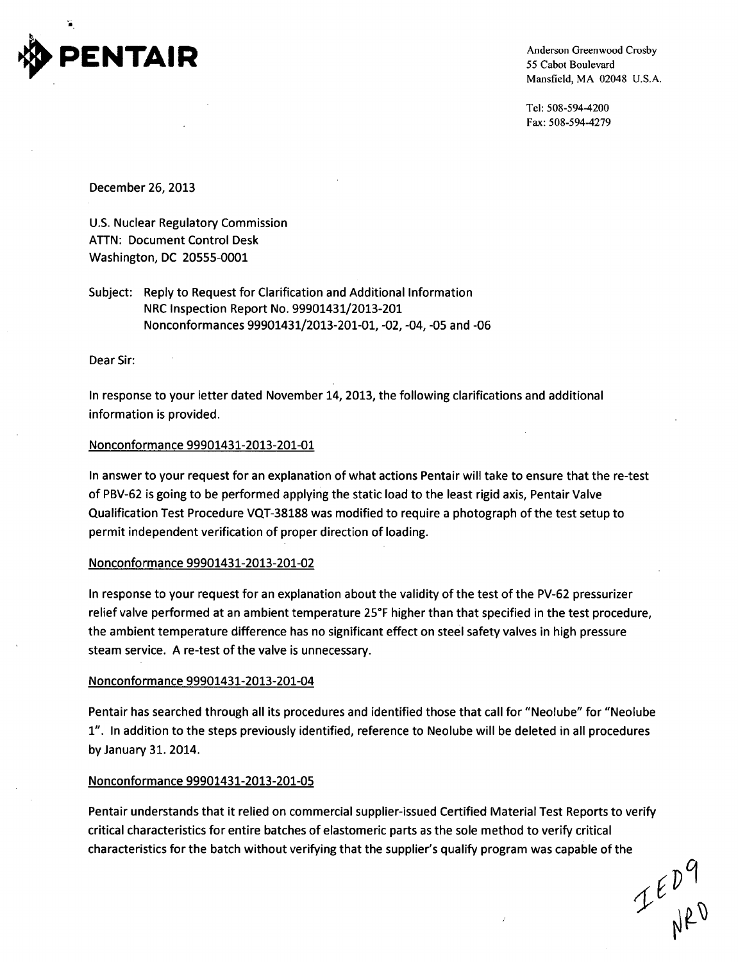

55 Cabot Boulevard Mansfield, MA 02048 U.S.A.

Tel: 508-594-4200 Fax: 508-594-4279

December 26, 2013

U.S. Nuclear Regulatory Commission **ATTN:** Document Control Desk Washington, DC 20555-0001

Subject: Reply to Request for Clarification and Additional Information NRC Inspection Report No. 99901431/2013-201 Nonconformances 99901431/2013-201-01, -02, -04, -05 and -06

Dear Sir:

In response to your letter dated November 14, 2013, the following clarifications and additional information is provided.

# Nonconformance 99901431-2013-201-01

In answer to your request for an explanation of what actions Pentair will take to ensure that the re-test of PBV-62 is going to be performed applying the static load to the least rigid axis, Pentair Valve Qualification Test Procedure VQT-38188 was modified to require a photograph of the test setup to permit independent verification of proper direction of loading.

# Nonconformance 99901431-2013-201-02

In response to your request for an explanation about the validity of the test of the PV-62 pressurizer relief valve performed at an ambient temperature 257F higher than that specified in the test procedure, the ambient temperature difference has no significant effect on steel safety valves in high pressure steam service. A re-test of the valve is unnecessary.

# Nonconformance 99901431-2013-201-04

Pentair has searched through all its procedures and identified those that call for "Neolube" for "Neolube 1". In addition to the steps previously identified, reference to Neolube will be deleted in all procedures by January 31. 2014.

# Nonconformance 99901431-2013-201-05

Pentair understands that it relied on commercial supplier-issued Certified Material Test Reports to verify critical characteristics for entire batches of elastomeric parts as the sole method to verify critical characteristics for the batch without verifying that the supplier's qualify program was capable of the

 $I_{\epsilon}^{\epsilon}P^9$